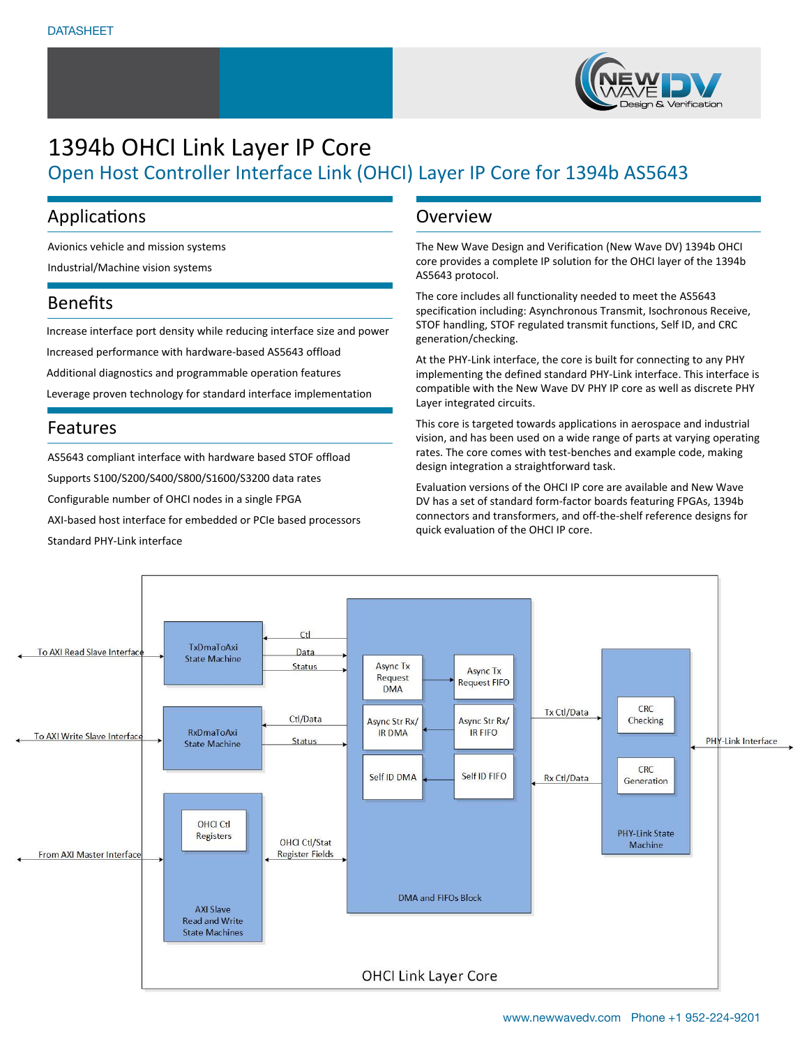

# 1394b OHCI Link Layer IP Core Open Host Controller Interface Link (OHCI) Layer IP Core for 1394b AS5643

### Applications

Avionics vehicle and mission systems

Industrial/Machine vision systems

### Benefits

Increase interface port density while reducing interface size and power Increased performance with hardware-based AS5643 offload Additional diagnostics and programmable operation features Leverage proven technology for standard interface implementation

### Features

AS5643 compliant interface with hardware based STOF offload Supports S100/S200/S400/S800/S1600/S3200 data rates Configurable number of OHCI nodes in a single FPGA AXI-based host interface for embedded or PCIe based processors Standard PHY-Link interface

### **Overview**

The New Wave Design and Verification (New Wave DV) 1394b OHCI core provides a complete IP solution for the OHCI layer of the 1394b AS5643 protocol.

The core includes all functionality needed to meet the AS5643 specification including: Asynchronous Transmit, Isochronous Receive, STOF handling, STOF regulated transmit functions, Self ID, and CRC generation/checking.

At the PHY-Link interface, the core is built for connecting to any PHY implementing the defined standard PHY-Link interface. This interface is compatible with the New Wave DV PHY IP core as well as discrete PHY Layer integrated circuits.

This core is targeted towards applications in aerospace and industrial vision, and has been used on a wide range of parts at varying operating rates. The core comes with test-benches and example code, making design integration a straightforward task.

Evaluation versions of the OHCI IP core are available and New Wave DV has a set of standard form-factor boards featuring FPGAs, 1394b connectors and transformers, and off-the-shelf reference designs for quick evaluation of the OHCI IP core.